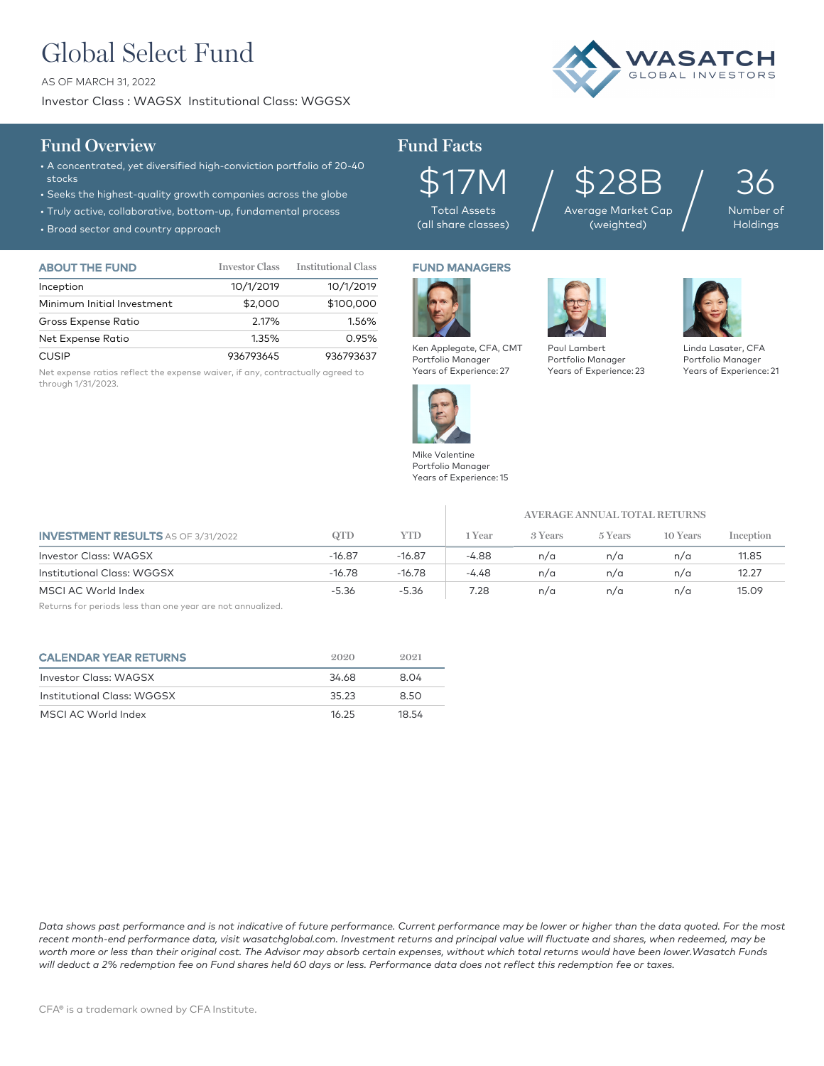# Global Select Fund

AS OF MARCH 31, 2022

Investor Class : WAGSX Institutional Class: WGGSX



## **Fund Overview Fund Facts**

- A concentrated, yet diversified high-conviction portfolio of 20-40 stocks
- Seeks the highest-quality growth companies across the globe
- Truly active, collaborative, bottom-up, fundamental process
- Broad sector and country approach

| <b>ABOUT THE FUND</b>      | <b>Investor Class</b> | <b>Institutional Class</b> |
|----------------------------|-----------------------|----------------------------|
| Inception                  | 10/1/2019             | 10/1/2019                  |
| Minimum Initial Investment | \$2,000               | \$100,000                  |
| Gross Expense Ratio        | 2.17%                 | 1.56%                      |
| Net Expense Ratio          | 1.35%                 | 0.95%                      |
| <b>CUSIP</b>               | 936793645             | 936793637                  |

Net expense ratios reflect the expense waiver, if any, contractually agreed to through 1/31/2023.

\$17M Total Assets (all share classes)

\$28B Average Market Cap  $\sum_{\text{age Market Cap}}$  /

36 Number **Holdings** 

FUND MANAGERS



Portfolio Manager Years of Experience: 23



Linda Lasater, CFA Portfolio Manager Years of Experience: 21



Mike Valentine Portfolio Manager Years of Experience: 15

Ken Applegate, CFA, CMT Portfolio Manager Years of Experience: 27

|                                           |          |            | AVERAGE ANNUAL TOTAL RETURNS |         |         |          |           |
|-------------------------------------------|----------|------------|------------------------------|---------|---------|----------|-----------|
| <b>INVESTMENT RESULTS</b> AS OF 3/31/2022 | QTD      | <b>YTD</b> | 1 Year                       | 3 Years | 5 Years | 10 Years | Inception |
| <b>Investor Class: WAGSX</b>              | $-16.87$ | $-16.87$   | $-4.88$                      | n/a     | n/a     | n/a      | 11.85     |
| Institutional Class: WGGSX                | $-16.78$ | $-16.78$   | -4.48                        | n/a     | n/a     | n/a      | 12.27     |
| MSCI AC World Index                       | $-5.36$  | $-5.36$    | 7.28                         | n/a     | n/a     | n/a      | 15.09     |

Returns for periods less than one year are not annualized.

| <b>CALENDAR YEAR RETURNS</b> | 2020  | 9.091 |
|------------------------------|-------|-------|
| Investor Class: WAGSX        | 34.68 | 8.04  |
| Institutional Class: WGGSX   | 35.23 | 8.50  |
| MSCI AC World Index          | 16.25 | 18.54 |

*Data shows past performance and is not indicative of future performance. Current performance may be lower or higher than the data quoted. For the most recent month-end performance data, visit wasatchglobal.com. Investment returns and principal value will fluctuate and shares, when redeemed, may be worth more or less than their original cost. The Advisor may absorb certain expenses, without which total returns would have been lower.Wasatch Funds will deduct a 2% redemption fee on Fund shares held 60 days or less. Performance data does not reflect this redemption fee or taxes.*